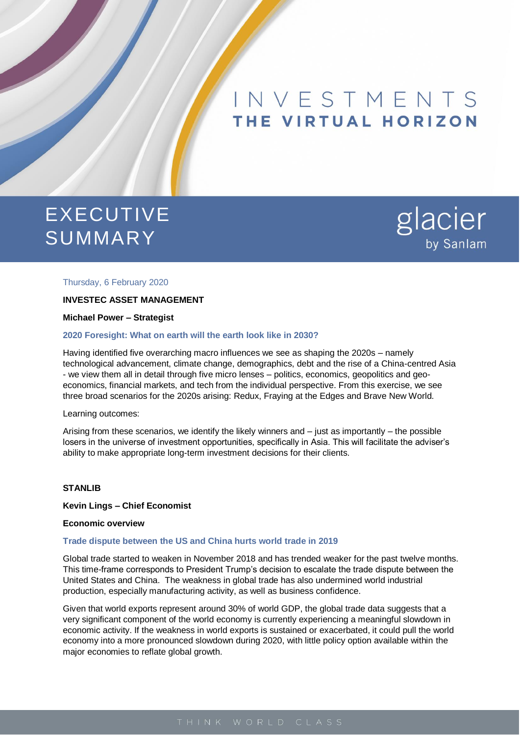# INVESTMENTS THE VIRTUAL HORIZON

# EXECUTIVE SUMMARY



#### Thursday, 6 February 2020

# **INVESTEC ASSET MANAGEMENT**

**Michael Power – Strategist** 

#### **2020 Foresight: What on earth will the earth look like in 2030?**

Having identified five overarching macro influences we see as shaping the 2020s – namely technological advancement, climate change, demographics, debt and the rise of a China-centred Asia - we view them all in detail through five micro lenses – politics, economics, geopolitics and geoeconomics, financial markets, and tech from the individual perspective. From this exercise, we see three broad scenarios for the 2020s arising: Redux, Fraying at the Edges and Brave New World.

#### Learning outcomes:

Arising from these scenarios, we identify the likely winners and – just as importantly – the possible losers in the universe of investment opportunities, specifically in Asia. This will facilitate the adviser's ability to make appropriate long-term investment decisions for their clients.

#### **STANLIB**

#### **Kevin Lings – Chief Economist**

#### **Economic overview**

#### **Trade dispute between the US and China hurts world trade in 2019**

Global trade started to weaken in November 2018 and has trended weaker for the past twelve months. This time-frame corresponds to President Trump's decision to escalate the trade dispute between the United States and China. The weakness in global trade has also undermined world industrial production, especially manufacturing activity, as well as business confidence.

Given that world exports represent around 30% of world GDP, the global trade data suggests that a very significant component of the world economy is currently experiencing a meaningful slowdown in economic activity. If the weakness in world exports is sustained or exacerbated, it could pull the world economy into a more pronounced slowdown during 2020, with little policy option available within the major economies to reflate global growth.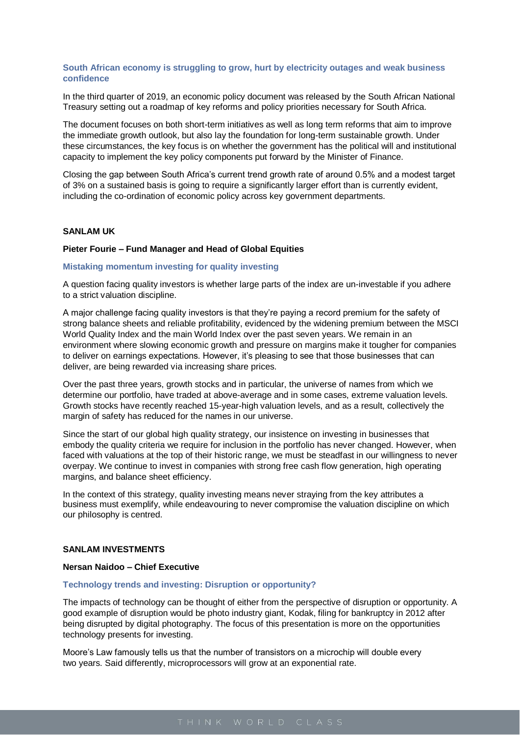## **South African economy is struggling to grow, hurt by electricity outages and weak business confidence**

In the third quarter of 2019, an economic policy document was released by the South African National Treasury setting out a roadmap of key reforms and policy priorities necessary for South Africa.

The document focuses on both short-term initiatives as well as long term reforms that aim to improve the immediate growth outlook, but also lay the foundation for long-term sustainable growth. Under these circumstances, the key focus is on whether the government has the political will and institutional capacity to implement the key policy components put forward by the Minister of Finance.

Closing the gap between South Africa's current trend growth rate of around 0.5% and a modest target of 3% on a sustained basis is going to require a significantly larger effort than is currently evident, including the co-ordination of economic policy across key government departments.

## **SANLAM UK**

#### **Pieter Fourie – Fund Manager and Head of Global Equities**

#### **Mistaking momentum investing for quality investing**

A question facing quality investors is whether large parts of the index are un-investable if you adhere to a strict valuation discipline.

A major challenge facing quality investors is that they're paying a record premium for the safety of strong balance sheets and reliable profitability, evidenced by the widening premium between the MSCI World Quality Index and the main World Index over the past seven years. We remain in an environment where slowing economic growth and pressure on margins make it tougher for companies to deliver on earnings expectations. However, it's pleasing to see that those businesses that can deliver, are being rewarded via increasing share prices.

Over the past three years, growth stocks and in particular, the universe of names from which we determine our portfolio, have traded at above-average and in some cases, extreme valuation levels. Growth stocks have recently reached 15-year-high valuation levels, and as a result, collectively the margin of safety has reduced for the names in our universe.

Since the start of our global high quality strategy, our insistence on investing in businesses that embody the quality criteria we require for inclusion in the portfolio has never changed. However, when faced with valuations at the top of their historic range, we must be steadfast in our willingness to never overpay. We continue to invest in companies with strong free cash flow generation, high operating margins, and balance sheet efficiency.

In the context of this strategy, quality investing means never straying from the key attributes a business must exemplify, while endeavouring to never compromise the valuation discipline on which our philosophy is centred.

### **SANLAM INVESTMENTS**

#### **Nersan Naidoo – Chief Executive**

#### **Technology trends and investing: Disruption or opportunity?**

The impacts of technology can be thought of either from the perspective of disruption or opportunity. A good example of disruption would be photo industry giant, Kodak, filing for bankruptcy in 2012 after being disrupted by digital photography. The focus of this presentation is more on the opportunities technology presents for investing.

Moore's Law famously tells us that the number of transistors on a microchip will double every two years. Said differently, microprocessors will grow at an exponential rate.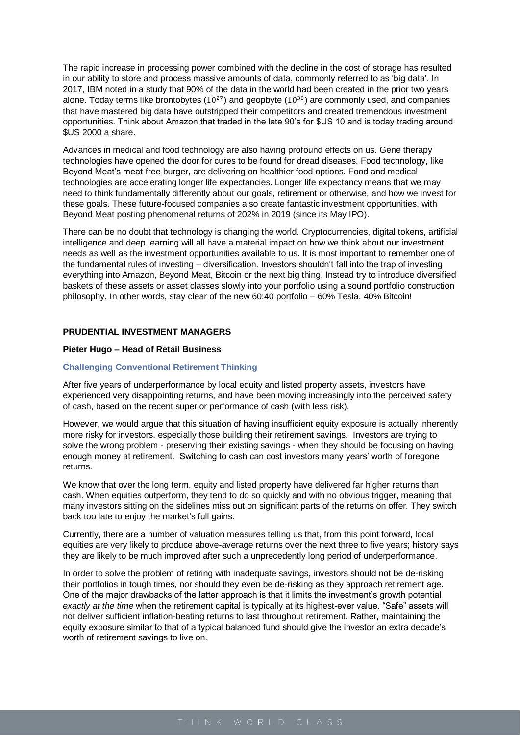The rapid increase in processing power combined with the decline in the cost of storage has resulted in our ability to store and process massive amounts of data, commonly referred to as 'big data'. In 2017, IBM noted in a study that 90% of the data in the world had been created in the prior two years alone. Today terms like brontobytes  $(10^{27})$  and geopbyte  $(10^{30})$  are commonly used, and companies that have mastered big data have outstripped their competitors and created tremendous investment opportunities. Think about Amazon that traded in the late 90's for \$US 10 and is today trading around \$US 2000 a share.

Advances in medical and food technology are also having profound effects on us. Gene therapy technologies have opened the door for cures to be found for dread diseases. Food technology, like Beyond Meat's meat-free burger, are delivering on healthier food options. Food and medical technologies are accelerating longer life expectancies. Longer life expectancy means that we may need to think fundamentally differently about our goals, retirement or otherwise, and how we invest for these goals. These future-focused companies also create fantastic investment opportunities, with Beyond Meat posting phenomenal returns of 202% in 2019 (since its May IPO).

There can be no doubt that technology is changing the world. Cryptocurrencies, digital tokens, artificial intelligence and deep learning will all have a material impact on how we think about our investment needs as well as the investment opportunities available to us. It is most important to remember one of the fundamental rules of investing – diversification. Investors shouldn't fall into the trap of investing everything into Amazon, Beyond Meat, Bitcoin or the next big thing. Instead try to introduce diversified baskets of these assets or asset classes slowly into your portfolio using a sound portfolio construction philosophy. In other words, stay clear of the new 60:40 portfolio – 60% Tesla, 40% Bitcoin!

### **PRUDENTIAL INVESTMENT MANAGERS**

#### **Pieter Hugo – Head of Retail Business**

#### **Challenging Conventional Retirement Thinking**

After five years of underperformance by local equity and listed property assets, investors have experienced very disappointing returns, and have been moving increasingly into the perceived safety of cash, based on the recent superior performance of cash (with less risk).

However, we would argue that this situation of having insufficient equity exposure is actually inherently more risky for investors, especially those building their retirement savings. Investors are trying to solve the wrong problem - preserving their existing savings - when they should be focusing on having enough money at retirement. Switching to cash can cost investors many years' worth of foregone returns.

We know that over the long term, equity and listed property have delivered far higher returns than cash. When equities outperform, they tend to do so quickly and with no obvious trigger, meaning that many investors sitting on the sidelines miss out on significant parts of the returns on offer. They switch back too late to enjoy the market's full gains.

Currently, there are a number of valuation measures telling us that, from this point forward, local equities are very likely to produce above-average returns over the next three to five years; history says they are likely to be much improved after such a unprecedently long period of underperformance.

In order to solve the problem of retiring with inadequate savings, investors should not be de-risking their portfolios in tough times, nor should they even be de-risking as they approach retirement age. One of the major drawbacks of the latter approach is that it limits the investment's growth potential *exactly at the time* when the retirement capital is typically at its highest-ever value. "Safe" assets will not deliver sufficient inflation-beating returns to last throughout retirement. Rather, maintaining the equity exposure similar to that of a typical balanced fund should give the investor an extra decade's worth of retirement savings to live on.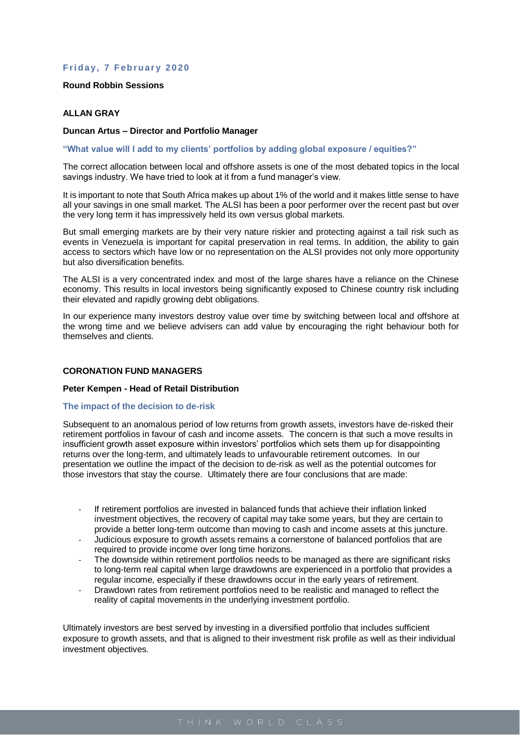# **Friday, 7 February 2020**

#### **Round Robbin Sessions**

# **ALLAN GRAY**

### **Duncan Artus – Director and Portfolio Manager**

**"What value will I add to my clients' portfolios by adding global exposure / equities?"**

The correct allocation between local and offshore assets is one of the most debated topics in the local savings industry. We have tried to look at it from a fund manager's view.

It is important to note that South Africa makes up about 1% of the world and it makes little sense to have all your savings in one small market. The ALSI has been a poor performer over the recent past but over the very long term it has impressively held its own versus global markets.

But small emerging markets are by their very nature riskier and protecting against a tail risk such as events in Venezuela is important for capital preservation in real terms. In addition, the ability to gain access to sectors which have low or no representation on the ALSI provides not only more opportunity but also diversification benefits.

The ALSI is a very concentrated index and most of the large shares have a reliance on the Chinese economy. This results in local investors being significantly exposed to Chinese country risk including their elevated and rapidly growing debt obligations.

In our experience many investors destroy value over time by switching between local and offshore at the wrong time and we believe advisers can add value by encouraging the right behaviour both for themselves and clients.

## **CORONATION FUND MANAGERS**

#### **Peter Kempen - Head of Retail Distribution**

#### **The impact of the decision to de-risk**

Subsequent to an anomalous period of low returns from growth assets, investors have de-risked their retirement portfolios in favour of cash and income assets. The concern is that such a move results in insufficient growth asset exposure within investors' portfolios which sets them up for disappointing returns over the long-term, and ultimately leads to unfavourable retirement outcomes. In our presentation we outline the impact of the decision to de-risk as well as the potential outcomes for those investors that stay the course. Ultimately there are four conclusions that are made:

- If retirement portfolios are invested in balanced funds that achieve their inflation linked investment objectives, the recovery of capital may take some years, but they are certain to provide a better long-term outcome than moving to cash and income assets at this juncture.
- Judicious exposure to growth assets remains a cornerstone of balanced portfolios that are required to provide income over long time horizons.
- The downside within retirement portfolios needs to be managed as there are significant risks to long-term real capital when large drawdowns are experienced in a portfolio that provides a regular income, especially if these drawdowns occur in the early years of retirement.
- Drawdown rates from retirement portfolios need to be realistic and managed to reflect the reality of capital movements in the underlying investment portfolio.

Ultimately investors are best served by investing in a diversified portfolio that includes sufficient exposure to growth assets, and that is aligned to their investment risk profile as well as their individual investment objectives.